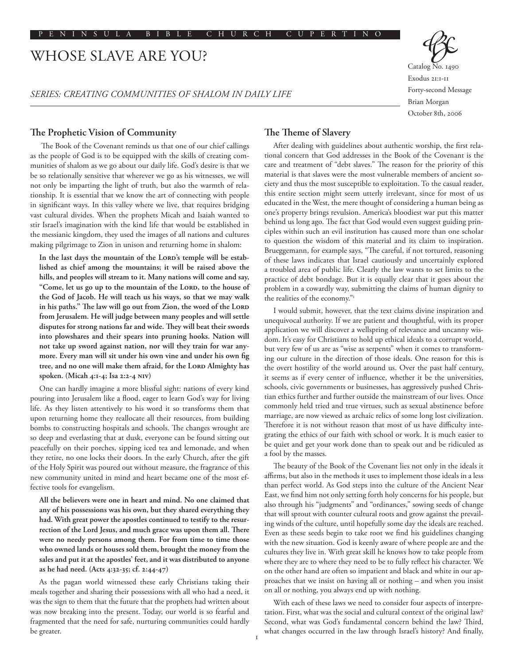# WHOSE SLAVE ARE YOU?

*SERIES: CREATING COMMUNITIES OF SHALOM IN DAILY LIFE*



Exodus 21:1-11 Forty-second Message Brian Morgan October 8th, 2006

## **The Prophetic Vision of Community**

 The Book of the Covenant reminds us that one of our chief callings as the people of God is to be equipped with the skills of creating communities of shalom as we go about our daily life. God's desire is that we be so relationally sensitive that wherever we go as his witnesses, we will not only be imparting the light of truth, but also the warmth of relationship. It is essential that we know the art of connecting with people in significant ways. In this valley where we live, that requires bridging vast cultural divides. When the prophets Micah and Isaiah wanted to stir Israel's imagination with the kind life that would be established in the messianic kingdom, they used the images of all nations and cultures making pilgrimage to Zion in unison and returning home in shalom:

In the last days the mountain of the LORD's temple will be estab**lished as chief among the mountains; it will be raised above the hills, and peoples will stream to it. Many nations will come and say,**  "Come, let us go up to the mountain of the LORD, to the house of **the God of Jacob. He will teach us his ways, so that we may walk**  in his paths." The law will go out from Zion, the word of the LORD **from Jerusalem. He will judge between many peoples and will settle disputes for strong nations far and wide. They will beat their swords into plowshares and their spears into pruning hooks. Nation will not take up sword against nation, nor will they train for war anymore. Every man will sit under his own vine and under his own fig**  tree, and no one will make them afraid, for the LORD Almighty has **spoken. (Micah 4:1-4; Isa 2:2-4 NIV)**

One can hardly imagine a more blissful sight: nations of every kind pouring into Jerusalem like a flood, eager to learn God's way for living life. As they listen attentively to his word it so transforms them that upon returning home they reallocate all their resources, from building bombs to constructing hospitals and schools. The changes wrought are so deep and everlasting that at dusk, everyone can be found sitting out peacefully on their porches, sipping iced tea and lemonade, and when they retire, no one locks their doors. In the early Church, after the gift of the Holy Spirit was poured out without measure, the fragrance of this new community united in mind and heart became one of the most effective tools for evangelism.

**All the believers were one in heart and mind. No one claimed that any of his possessions was his own, but they shared everything they had. With great power the apostles continued to testify to the resurrection of the Lord Jesus, and much grace was upon them all. There were no needy persons among them. For from time to time those who owned lands or houses sold them, brought the money from the sales and put it at the apostles' feet, and it was distributed to anyone as he had need. (Acts 4:32-35; cf. 2:44-47)**

As the pagan world witnessed these early Christians taking their meals together and sharing their possessions with all who had a need, it was the sign to them that the future that the prophets had written about was now breaking into the present. Today, our world is so fearful and fragmented that the need for safe, nurturing communities could hardly be greater.

# **The Theme of Slavery**

After dealing with guidelines about authentic worship, the first relational concern that God addresses in the Book of the Covenant is the care and treatment of "debt slaves." The reason for the priority of this material is that slaves were the most vulnerable members of ancient society and thus the most susceptible to exploitation. To the casual reader, this entire section might seem utterly irrelevant, since for most of us educated in the West, the mere thought of considering a human being as one's property brings revulsion. America's bloodiest war put this matter behind us long ago. The fact that God would even suggest guiding principles within such an evil institution has caused more than one scholar to question the wisdom of this material and its claim to inspiration. Brueggemann, for example says, "The careful, if not tortured, reasoning of these laws indicates that Israel cautiously and uncertainly explored a troubled area of public life. Clearly the law wants to set limits to the practice of debt bondage. But it is equally clear that it goes about the problem in a cowardly way, submitting the claims of human dignity to the realities of the economy."1

I would submit, however, that the text claims divine inspiration and unequivocal authority. If we are patient and thoughtful, with its proper application we will discover a wellspring of relevance and uncanny wisdom. It's easy for Christians to hold up ethical ideals to a corrupt world, but very few of us are as "wise as serpents" when it comes to transforming our culture in the direction of those ideals. One reason for this is the overt hostility of the world around us. Over the past half century, it seems as if every center of influence, whether it be the universities, schools, civic governments or businesses, has aggressively pushed Christian ethics further and further outside the mainstream of our lives. Once commonly held tried and true virtues, such as sexual abstinence before marriage, are now viewed as archaic relics of some long lost civilization. Therefore it is not without reason that most of us have difficulty integrating the ethics of our faith with school or work. It is much easier to be quiet and get your work done than to speak out and be ridiculed as a fool by the masses.

The beauty of the Book of the Covenant lies not only in the ideals it affirms, but also in the methods it uses to implement those ideals in a less than perfect world. As God steps into the culture of the Ancient Near East, we find him not only setting forth holy concerns for his people, but also through his "judgments" and "ordinances," sowing seeds of change that will sprout with counter cultural roots and grow against the prevailing winds of the culture, until hopefully some day the ideals are reached. Even as these seeds begin to take root we find his guidelines changing with the new situation. God is keenly aware of where people are and the cultures they live in. With great skill he knows how to take people from where they are to where they need to be to fully reflect his character. We on the other hand are often so impatient and black and white in our approaches that we insist on having all or nothing – and when you insist on all or nothing, you always end up with nothing.

With each of these laws we need to consider four aspects of interpretation. First, what was the social and cultural context of the original law? Second, what was God's fundamental concern behind the law? Third, what changes occurred in the law through Israel's history? And finally,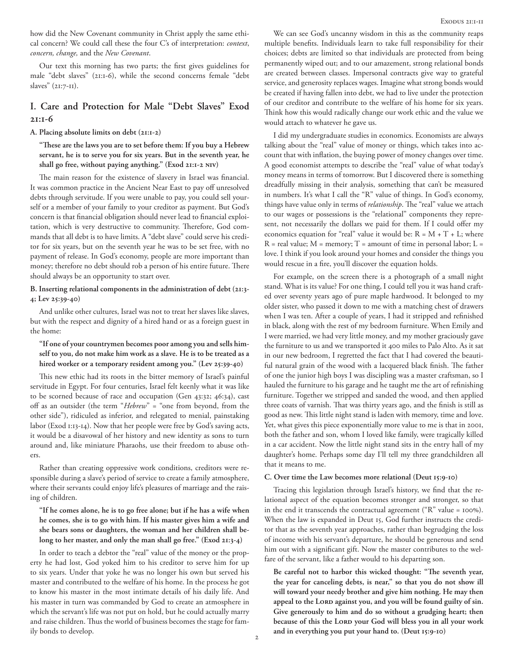how did the New Covenant community in Christ apply the same ethical concern? We could call these the four C's of interpretation: *context*, *concern, change,* and the *New Covenant*.

Our text this morning has two parts; the first gives guidelines for male "debt slaves" (21:1-6), while the second concerns female "debt slaves" (21:7-11).

# **I. Care and Protection for Male "Debt Slaves" Exod 21:1-6**

#### **A. Placing absolute limits on debt (21:1-2)**

**"These are the laws you are to set before them: If you buy a Hebrew servant, he is to serve you for six years. But in the seventh year, he shall go free, without paying anything." (Exod 21:1-2 NIV)**

The main reason for the existence of slavery in Israel was financial. It was common practice in the Ancient Near East to pay off unresolved debts through servitude. If you were unable to pay, you could sell yourself or a member of your family to your creditor as payment. But God's concern is that financial obligation should never lead to financial exploitation, which is very destructive to community. Therefore, God commands that all debt is to have limits. A "debt slave" could serve his creditor for six years, but on the seventh year he was to be set free, with no payment of release. In God's economy, people are more important than money; therefore no debt should rob a person of his entire future. There should always be an opportunity to start over.

#### **B. Inserting relational components in the administration of debt (21:3- 4; Lev 25:39-40)**

And unlike other cultures, Israel was not to treat her slaves like slaves, but with the respect and dignity of a hired hand or as a foreign guest in the home:

#### **"If one of your countrymen becomes poor among you and sells himself to you, do not make him work as a slave. He is to be treated as a hired worker or a temporary resident among you." (Lev 25:39-40)**

This new ethic had its roots in the bitter memory of Israel's painful servitude in Egypt. For four centuries, Israel felt keenly what it was like to be scorned because of race and occupation (Gen 43:32; 46:34), cast off as an outsider (the term "*Hebrew*" = "one from beyond, from the other side"), ridiculed as inferior, and relegated to menial, painstaking labor (Exod 1:13-14). Now that her people were free by God's saving acts, it would be a disavowal of her history and new identity as sons to turn around and, like miniature Pharaohs, use their freedom to abuse others.

Rather than creating oppressive work conditions, creditors were responsible during a slave's period of service to create a family atmosphere, where their servants could enjoy life's pleasures of marriage and the raising of children.

#### **"If he comes alone, he is to go free alone; but if he has a wife when he comes, she is to go with him. If his master gives him a wife and she bears sons or daughters, the woman and her children shall belong to her master, and only the man shall go free." (Exod 21:3-4)**

In order to teach a debtor the "real" value of the money or the property he had lost, God yoked him to his creditor to serve him for up to six years. Under that yoke he was no longer his own but served his master and contributed to the welfare of his home. In the process he got to know his master in the most intimate details of his daily life. And his master in turn was commanded by God to create an atmosphere in which the servant's life was not put on hold, but he could actually marry and raise children. Thus the world of business becomes the stage for family bonds to develop.

We can see God's uncanny wisdom in this as the community reaps multiple benefits. Individuals learn to take full responsibility for their choices; debts are limited so that individuals are protected from being permanently wiped out; and to our amazement, strong relational bonds are created between classes. Impersonal contracts give way to grateful service, and generosity replaces wages. Imagine what strong bonds would be created if having fallen into debt, we had to live under the protection of our creditor and contribute to the welfare of his home for six years. Think how this would radically change our work ethic and the value we would attach to whatever he gave us.

I did my undergraduate studies in economics. Economists are always talking about the "real" value of money or things, which takes into account that with inflation, the buying power of money changes over time. A good economist attempts to describe the "real" value of what today's money means in terms of tomorrow. But I discovered there is something dreadfully missing in their analysis, something that can't be measured in numbers. It's what I call the "R" value of things. In God's economy, things have value only in terms of *relationship*. The "real" value we attach to our wages or possessions is the "relational" components they represent, not necessarily the dollars we paid for them. If I could offer my economics equation for "real" value it would be:  $R = M + T + L$ ; where  $R =$  real value;  $M =$  memory;  $T =$  amount of time in personal labor;  $L =$ love. I think if you look around your homes and consider the things you would rescue in a fire, you'll discover the equation holds.

For example, on the screen there is a photograph of a small night stand. What is its value? For one thing, I could tell you it was hand crafted over seventy years ago of pure maple hardwood. It belonged to my older sister, who passed it down to me with a matching chest of drawers when I was ten. After a couple of years, I had it stripped and refinished in black, along with the rest of my bedroom furniture. When Emily and I were married, we had very little money, and my mother graciously gave the furniture to us and we transported it 400 miles to Palo Alto. As it sat in our new bedroom, I regretted the fact that I had covered the beautiful natural grain of the wood with a lacquered black finish. The father of one the junior high boys I was discipling was a master craftsman, so I hauled the furniture to his garage and he taught me the art of refinishing furniture. Together we stripped and sanded the wood, and then applied three coats of varnish. That was thirty years ago, and the finish is still as good as new. This little night stand is laden with memory, time and love. Yet, what gives this piece exponentially more value to me is that in 2001, both the father and son, whom I loved like family, were tragically killed in a car accident. Now the little night stand sits in the entry hall of my daughter's home. Perhaps some day I'll tell my three grandchildren all that it means to me.

#### **C. Over time the Law becomes more relational (Deut 15:9-10)**

Tracing this legislation through Israel's history, we find that the relational aspect of the equation becomes stronger and stronger, so that in the end it transcends the contractual agreement ("R" value = 100%). When the law is expanded in Deut 15, God further instructs the creditor that as the seventh year approaches, rather than begrudging the loss of income with his servant's departure, he should be generous and send him out with a significant gift. Now the master contributes to the welfare of the servant, like a father would to his departing son.

**Be careful not to harbor this wicked thought: "The seventh year, the year for canceling debts, is near," so that you do not show ill will toward your needy brother and give him nothing. He may then**  appeal to the LORD against you, and you will be found guilty of sin. **Give generously to him and do so without a grudging heart; then**  because of this the LORD your God will bless you in all your work **and in everything you put your hand to. (Deut 15:9-10)**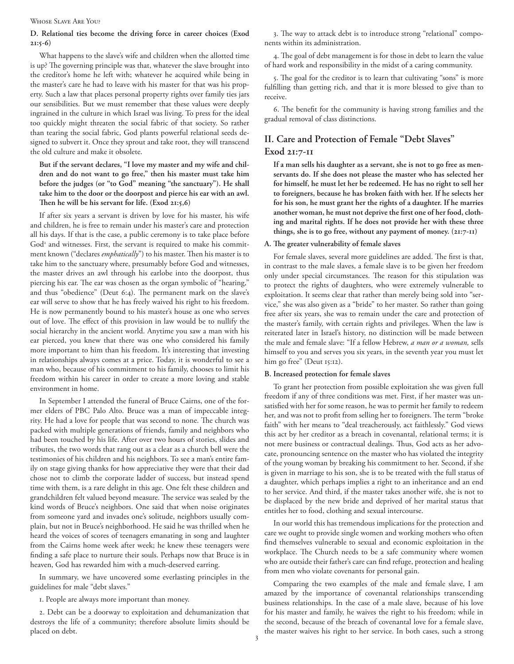#### Whose Slave Are You?

## **D. Relational ties become the driving force in career choices (Exod 21:5-6)**

What happens to the slave's wife and children when the allotted time is up? The governing principle was that, whatever the slave brought into the creditor's home he left with; whatever he acquired while being in the master's care he had to leave with his master for that was his property. Such a law that places personal property rights over family ties jars our sensibilities. But we must remember that these values were deeply ingrained in the culture in which Israel was living. To press for the ideal too quickly might threaten the social fabric of that society. So rather than tearing the social fabric, God plants powerful relational seeds designed to subvert it. Once they sprout and take root, they will transcend the old culture and make it obsolete.

**But if the servant declares, "I love my master and my wife and children and do not want to go free," then his master must take him before the judges (or "to God" meaning "the sanctuary"). He shall take him to the door or the doorpost and pierce his ear with an awl. Then he will be his servant for life. (Exod 21:5,6)**

If after six years a servant is driven by love for his master, his wife and children, he is free to remain under his master's care and protection all his days. If that is the case, a public ceremony is to take place before God<sup>2</sup> and witnesses. First, the servant is required to make his commitment known ("declares *emphatically*") to his master. Then his master is to take him to the sanctuary where, presumably before God and witnesses, the master drives an awl through his earlobe into the doorpost, thus piercing his ear. The ear was chosen as the organ symbolic of "hearing," and thus "obedience" (Deut 6:4). The permanent mark on the slave's ear will serve to show that he has freely waived his right to his freedom. He is now permanently bound to his master's house as one who serves out of love. The effect of this provision in law would be to nullify the social hierarchy in the ancient world. Anytime you saw a man with his ear pierced, you knew that there was one who considered his family more important to him than his freedom. It's interesting that investing in relationships always comes at a price. Today, it is wonderful to see a man who, because of his commitment to his family, chooses to limit his freedom within his career in order to create a more loving and stable environment in home.

In September I attended the funeral of Bruce Cairns, one of the former elders of PBC Palo Alto. Bruce was a man of impeccable integrity. He had a love for people that was second to none. The church was packed with multiple generations of friends, family and neighbors who had been touched by his life. After over two hours of stories, slides and tributes, the two words that rang out as a clear as a church bell were the testimonies of his children and his neighbors. To see a man's entire family on stage giving thanks for how appreciative they were that their dad chose not to climb the corporate ladder of success, but instead spend time with them, is a rare delight in this age. One felt these children and grandchildren felt valued beyond measure. The service was sealed by the kind words of Bruce's neighbors. One said that when noise originates from someone yard and invades one's solitude, neighbors usually complain, but not in Bruce's neighborhood. He said he was thrilled when he heard the voices of scores of teenagers emanating in song and laughter from the Cairns home week after week; he knew these teenagers were finding a safe place to nurture their souls. Perhaps now that Bruce is in heaven, God has rewarded him with a much-deserved earring.

In summary, we have uncovered some everlasting principles in the guidelines for male "debt slaves."

1. People are always more important than money.

2. Debt can be a doorway to exploitation and dehumanization that destroys the life of a community; therefore absolute limits should be placed on debt.

3. The way to attack debt is to introduce strong "relational" components within its administration.

4. The goal of debt management is for those in debt to learn the value of hard work and responsibility in the midst of a caring community.

5. The goal for the creditor is to learn that cultivating "sons" is more fulfilling than getting rich, and that it is more blessed to give than to receive.

6. The benefit for the community is having strong families and the gradual removal of class distinctions.

# **II. Care and Protection of Female "Debt Slaves" Exod 21:7-11**

**If a man sells his daughter as a servant, she is not to go free as menservants do. If she does not please the master who has selected her for himself, he must let her be redeemed. He has no right to sell her to foreigners, because he has broken faith with her. If he selects her for his son, he must grant her the rights of a daughter. If he marries another woman, he must not deprive the first one of her food, clothing and marital rights. If he does not provide her with these three things, she is to go free, without any payment of money. (21:7-11)**

#### **A. The greater vulnerability of female slaves**

For female slaves, several more guidelines are added. The first is that, in contrast to the male slaves, a female slave is to be given her freedom only under special circumstances. The reason for this stipulation was to protect the rights of daughters, who were extremely vulnerable to exploitation. It seems clear that rather than merely being sold into "service," she was also given as a "bride" to her master. So rather than going free after six years, she was to remain under the care and protection of the master's family, with certain rights and privileges. When the law is reiterated later in Israel's history, no distinction will be made between the male and female slave: "If a fellow Hebrew, *a man or a woman,* sells himself to you and serves you six years, in the seventh year you must let him go free" (Deut 15:12).

#### **B. Increased protection for female slaves**

To grant her protection from possible exploitation she was given full freedom if any of three conditions was met. First, if her master was unsatisfied with her for some reason, he was to permit her family to redeem her, and was not to profit from selling her to foreigners. The term "broke faith" with her means to "deal treacherously, act faithlessly." God views this act by her creditor as a breach in covenantal, relational terms; it is not mere business or contractual dealings. Thus, God acts as her advocate, pronouncing sentence on the master who has violated the integrity of the young woman by breaking his commitment to her. Second, if she is given in marriage to his son, she is to be treated with the full status of a daughter, which perhaps implies a right to an inheritance and an end to her service. And third, if the master takes another wife, she is not to be displaced by the new bride and deprived of her marital status that entitles her to food, clothing and sexual intercourse.

In our world this has tremendous implications for the protection and care we ought to provide single women and working mothers who often find themselves vulnerable to sexual and economic exploitation in the workplace. The Church needs to be a safe community where women who are outside their father's care can find refuge, protection and healing from men who violate covenants for personal gain.

Comparing the two examples of the male and female slave, I am amazed by the importance of covenantal relationships transcending business relationships. In the case of a male slave, because of his love for his master and family, he waives the right to his freedom; while in the second, because of the breach of covenantal love for a female slave, the master waives his right to her service. In both cases, such a strong